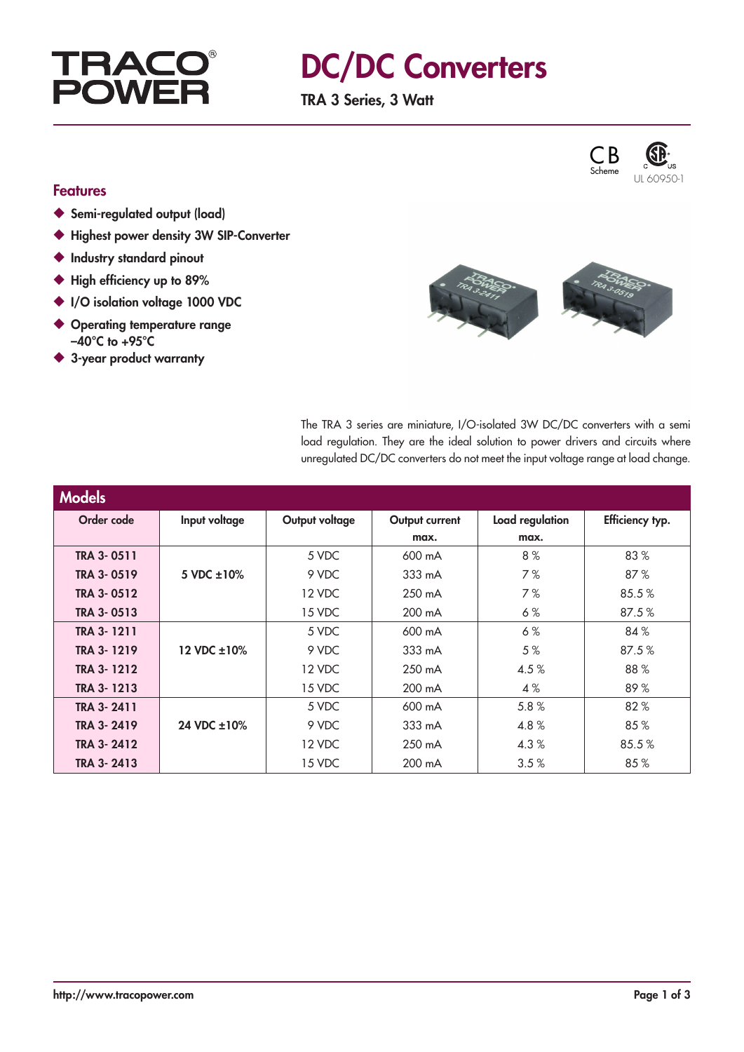

## DC/DC Converters

TRA 3 Series, 3 Watt



#### Features

- ◆ Semi-regulated output (load)
- ◆ Highest power density 3W SIP-Converter
- ◆ Industry standard pinout
- ◆ High efficiency up to 89%
- ◆ I/O isolation voltage 1000 VDC
- ◆ Operating temperature range  $-40^{\circ}$ C to  $+95^{\circ}$ C
- ◆ 3-year product warranty

The TRA 3 series are miniature, I/O-isolated 3W DC/DC converters with a semi load regulation. They are the ideal solution to power drivers and circuits where unregulated DC/DC converters do not meet the input voltage range at load change.

| <b>Models</b>     |                 |                |                  |                 |                 |
|-------------------|-----------------|----------------|------------------|-----------------|-----------------|
| Order code        | Input voltage   | Output voltage | Output current   | Load regulation | Efficiency typ. |
|                   |                 |                | max.             | max.            |                 |
| <b>TRA 3-0511</b> |                 | 5 VDC          | 600 mA           | 8%              | 83%             |
| TRA 3-0519        | 5 VDC $\pm$ 10% | 9 VDC          | 333 mA           | 7%              | 87%             |
| TRA 3-0512        |                 | 12 VDC         | $250 \text{ mA}$ | 7%              | 85.5%           |
| TRA 3-0513        |                 | 15 VDC         | 200 mA           | 6%              | 87.5%           |
| TRA 3-1211        |                 | 5 VDC          | 600 mA           | 6%              | 84%             |
| <b>TRA 3-1219</b> | 12 VDC ±10%     | 9 VDC          | $333 \text{ mA}$ | 5%              | 87.5%           |
| TRA 3-1212        |                 | 12 VDC         | $250 \text{ mA}$ | 4.5%            | 88%             |
| TRA 3-1213        |                 | 15 VDC         | 200 mA           | 4%              | 89%             |
| TRA 3-2411        |                 | 5 VDC          | 600 mA           | 5.8%            | 82%             |
| <b>TRA 3-2419</b> | 24 VDC ±10%     | 9 VDC          | $333 \text{ mA}$ | 4.8%            | 85%             |
| TRA 3-2412        |                 | 12 VDC         | 250 mA           | 4.3%            | 85.5%           |
| TRA 3-2413        |                 | 15 VDC         | 200 mA           | 3.5%            | 85%             |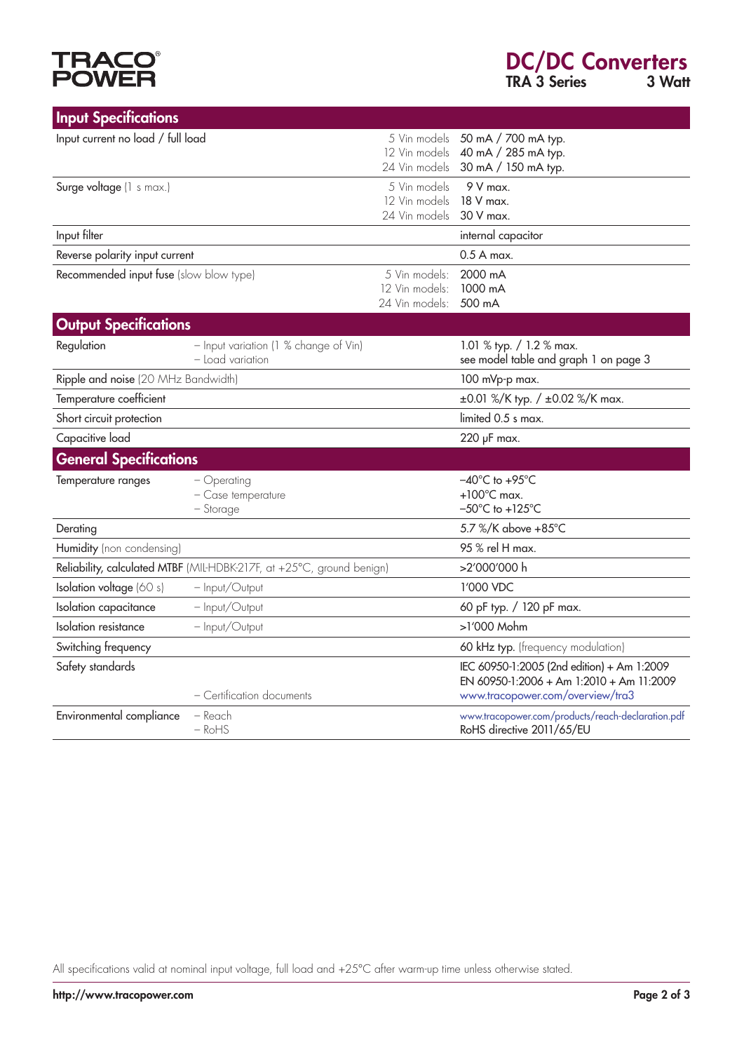# **TRACO<sup>®</sup>**<br>POWER

| <b>Input Specifications</b>             |                                                                       |                                                   |                                                                                                                            |
|-----------------------------------------|-----------------------------------------------------------------------|---------------------------------------------------|----------------------------------------------------------------------------------------------------------------------------|
| Input current no load / full load       |                                                                       | 12 Vin models<br>24 Vin models                    | 5 Vin models 50 mA / 700 mA typ.<br>40 mA / 285 mA typ.<br>30 mA / 150 mA typ.                                             |
| Surge voltage (1 s max.)                |                                                                       | 5 Vin models<br>12 Vin models<br>24 Vin models    | $9V$ max.<br>18 V max.<br>30 V max.                                                                                        |
| Input filter                            |                                                                       |                                                   | internal capacitor                                                                                                         |
| Reverse polarity input current          |                                                                       |                                                   | $0.5A$ max.                                                                                                                |
| Recommended input fuse (slow blow type) |                                                                       | 5 Vin models:<br>12 Vin models:<br>24 Vin models: | 2000 mA<br>1000 mA<br>500 mA                                                                                               |
| <b>Output Specifications</b>            |                                                                       |                                                   |                                                                                                                            |
| Regulation                              | - Input variation (1 % change of Vin)<br>- Load variation             |                                                   | 1.01 % typ. $/ 1.2$ % max.<br>see model table and graph 1 on page 3                                                        |
| Ripple and noise (20 MHz Bandwidth)     |                                                                       |                                                   | 100 mVp-p max.                                                                                                             |
| Temperature coefficient                 |                                                                       |                                                   | ±0.01 %/K typ. / ±0.02 %/K max.                                                                                            |
| Short circuit protection                |                                                                       |                                                   | limited 0.5 s max.                                                                                                         |
| Capacitive load                         |                                                                       |                                                   | 220 µF max.                                                                                                                |
| <b>General Specifications</b>           |                                                                       |                                                   |                                                                                                                            |
| Temperature ranges                      | $-$ Operating<br>- Case temperature<br>$-$ Storage                    |                                                   | $-40^{\circ}$ C to $+95^{\circ}$ C<br>$+100^{\circ}$ C max.<br>$-50^{\circ}$ C to $+125^{\circ}$ C                         |
| Derating                                |                                                                       |                                                   | 5.7 %/K above +85°C                                                                                                        |
| Humidity (non condensing)               |                                                                       |                                                   | 95 % rel H max.                                                                                                            |
|                                         | Reliability, calculated MTBF (MIL-HDBK-217F, at +25°C, ground benign) |                                                   | >2'000'000 h                                                                                                               |
| Isolation voltage (60 s)                | - Input/Output                                                        |                                                   | 1'000 VDC                                                                                                                  |
| Isolation capacitance                   | - Input/Output                                                        |                                                   | 60 pF typ. / 120 pF max.                                                                                                   |
| Isolation resistance                    | - Input/Output                                                        |                                                   | >1'000 Mohm                                                                                                                |
| Switching frequency                     |                                                                       |                                                   | 60 kHz typ. (frequency modulation)                                                                                         |
| Safety standards                        | - Certification documents                                             |                                                   | IEC 60950-1:2005 (2nd edition) + Am 1:2009<br>EN 60950-1:2006 + Am 1:2010 + Am 11:2009<br>www.tracopower.com/overview/tra3 |
| Environmental compliance                | - Reach<br>$-RoHS$                                                    |                                                   | www.tracopower.com/products/reach-declaration.pdf<br>RoHS directive 2011/65/EU                                             |

All specifications valid at nominal input voltage, full load and +25°C after warm-up time unless otherwise stated.